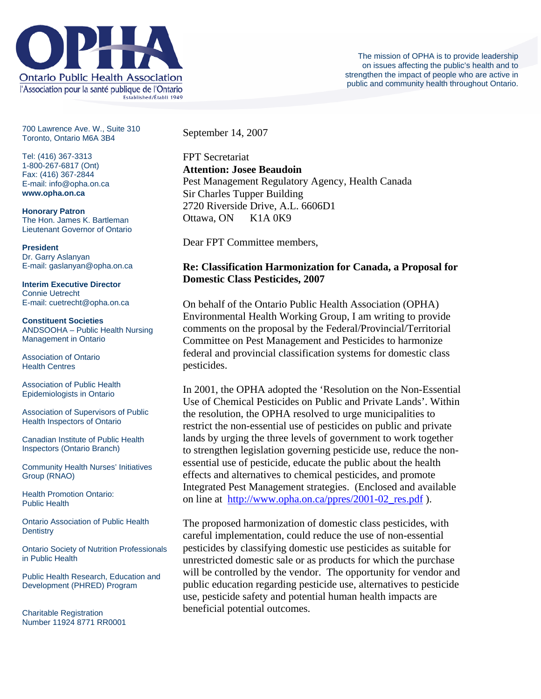

700 Lawrence Ave. W., Suite 310 Toronto, Ontario M6A 3B4

Tel: (416) 367-3313 1-800-267-6817 (Ont) Fax: (416) 367-2844 E-mail: info@opha.on.ca **www.opha.on.ca** 

**Honorary Patron**  The Hon. James K. Bartleman Lieutenant Governor of Ontario

**President**  Dr. Garry Aslanyan E-mail: gaslanyan@opha.on.ca

**Interim Executive Director**  Connie Uetrecht E-mail: cuetrecht@opha.on.ca

**Constituent Societies**  ANDSOOHA – Public Health Nursing Management in Ontario

Association of Ontario Health Centres

Association of Public Health Epidemiologists in Ontario

Association of Supervisors of Public Health Inspectors of Ontario

Canadian Institute of Public Health Inspectors (Ontario Branch)

Community Health Nurses' Initiatives Group (RNAO)

Health Promotion Ontario: Public Health

Ontario Association of Public Health **Dentistry** 

Ontario Society of Nutrition Professionals in Public Health

Public Health Research, Education and Development (PHRED) Program

Charitable Registration Number 11924 8771 RR0001 September 14, 2007

FPT Secretariat **Attention: Josee Beaudoin**  Pest Management Regulatory Agency, Health Canada Sir Charles Tupper Building 2720 Riverside Drive, A.L. 6606D1 Ottawa, ON K1A 0K9

Dear FPT Committee members,

## **Re: Classification Harmonization for Canada, a Proposal for Domestic Class Pesticides, 2007**

On behalf of the Ontario Public Health Association (OPHA) Environmental Health Working Group, I am writing to provide comments on the proposal by the Federal/Provincial/Territorial Committee on Pest Management and Pesticides to harmonize federal and provincial classification systems for domestic class pesticides.

In 2001, the OPHA adopted the 'Resolution on the Non-Essential Use of Chemical Pesticides on Public and Private Lands'. Within the resolution, the OPHA resolved to urge municipalities to restrict the non-essential use of pesticides on public and private lands by urging the three levels of government to work together to strengthen legislation governing pesticide use, reduce the nonessential use of pesticide, educate the public about the health effects and alternatives to chemical pesticides, and promote Integrated Pest Management strategies. (Enclosed and available on line at [http://www.opha.on.ca/ppres/2001-02\\_res.pdf](http://www.opha.on.ca/ppres/2001-02_res.pdf) ).

The proposed harmonization of domestic class pesticides, with careful implementation, could reduce the use of non-essential pesticides by classifying domestic use pesticides as suitable for unrestricted domestic sale or as products for which the purchase will be controlled by the vendor. The opportunity for vendor and public education regarding pesticide use, alternatives to pesticide use, pesticide safety and potential human health impacts are beneficial potential outcomes.